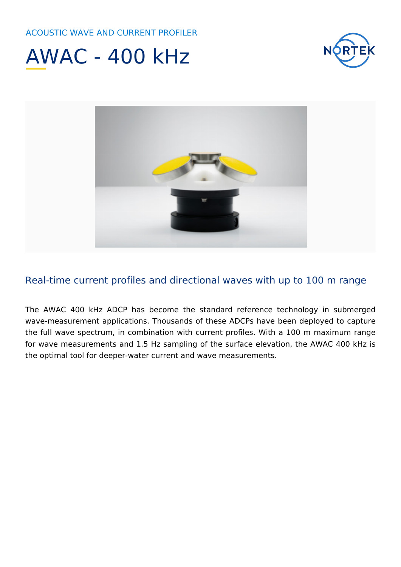





#### Real-time current profiles and directional waves with up to 100 m range

The AWAC 400 kHz ADCP has become the standard reference technology in submerged wave-measurement applications. Thousands of these ADCPs have been deployed to capture the full wave spectrum, in combination with current profiles. With a 100 m maximum range for wave measurements and 1.5 Hz sampling of the surface elevation, the AWAC 400 kHz is the optimal tool for deeper-water current and wave measurements.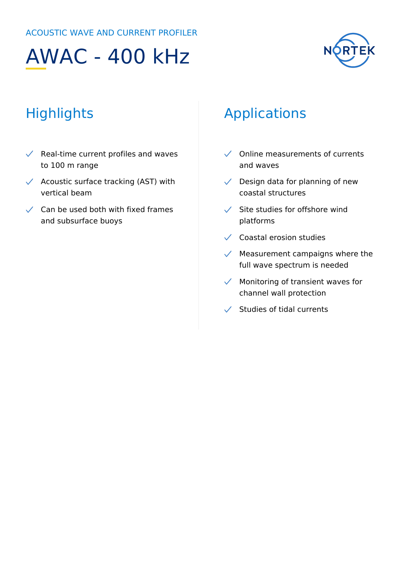# AWAC - 400 kHz



### **Highlights**

- $\sqrt{\phantom{a}}$  Real-time current profiles and waves to 100 m range
- $\checkmark$  Acoustic surface tracking (AST) with vertical beam
- $\checkmark$  Can be used both with fixed frames and subsurface buoys

#### Applications

- $\checkmark$  Online measurements of currents and waves
- $\sqrt{\phantom{a}}$  Design data for planning of new coastal structures
- $\checkmark$  Site studies for offshore wind platforms
- $\sqrt{\phantom{a}}$  Coastal erosion studies
- $\sqrt{\phantom{a}}$  Measurement campaigns where the full wave spectrum is needed
- $\sqrt{\phantom{a}}$  Monitoring of transient waves for channel wall protection
- $\checkmark$  Studies of tidal currents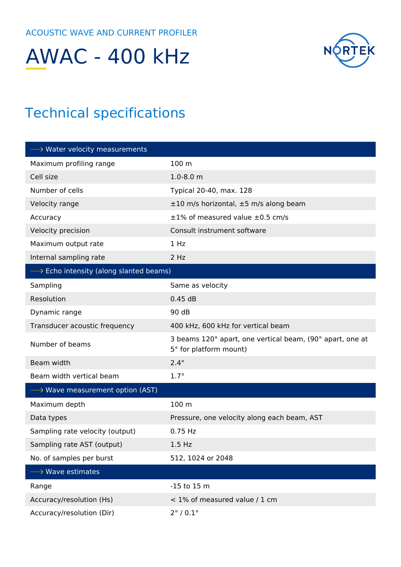## AWAC - 400 kHz



#### Technical specifications

| $\longrightarrow$ Water velocity measurements          |                                                                                     |
|--------------------------------------------------------|-------------------------------------------------------------------------------------|
| Maximum profiling range                                | 100 m                                                                               |
| Cell size                                              | $1.0 - 8.0$ m                                                                       |
| Number of cells                                        | Typical 20-40, max. 128                                                             |
| Velocity range                                         | ±10 m/s horizontal, ±5 m/s along beam                                               |
| Accuracy                                               | $\pm 1\%$ of measured value $\pm 0.5$ cm/s                                          |
| Velocity precision                                     | Consult instrument software                                                         |
| Maximum output rate                                    | 1 Hz                                                                                |
| Internal sampling rate                                 | 2 Hz                                                                                |
| $\longrightarrow$ Echo intensity (along slanted beams) |                                                                                     |
| Sampling                                               | Same as velocity                                                                    |
| Resolution                                             | 0.45dB                                                                              |
| Dynamic range                                          | 90 dB                                                                               |
| Transducer acoustic frequency                          | 400 kHz, 600 kHz for vertical beam                                                  |
| Number of beams                                        | 3 beams 120° apart, one vertical beam, (90° apart, one at<br>5° for platform mount) |
| Beam width                                             | $2.4^\circ$                                                                         |
| Beam width vertical beam                               | $1.7^\circ$                                                                         |
| $\longrightarrow$ Wave measurement option (AST)        |                                                                                     |
| Maximum depth                                          | 100 m                                                                               |
| Data types                                             | Pressure, one velocity along each beam, AST                                         |
| Sampling rate velocity (output)                        | 0.75 Hz                                                                             |
| Sampling rate AST (output)                             | $1.5$ Hz                                                                            |
| No. of samples per burst                               | 512, 1024 or 2048                                                                   |
| $\longrightarrow$ Wave estimates                       |                                                                                     |
| Range                                                  | -15 to 15 m                                                                         |
| Accuracy/resolution (Hs)                               | < 1% of measured value / 1 cm                                                       |
| Accuracy/resolution (Dir)                              | $2^{\circ}$ / 0.1 $^{\circ}$                                                        |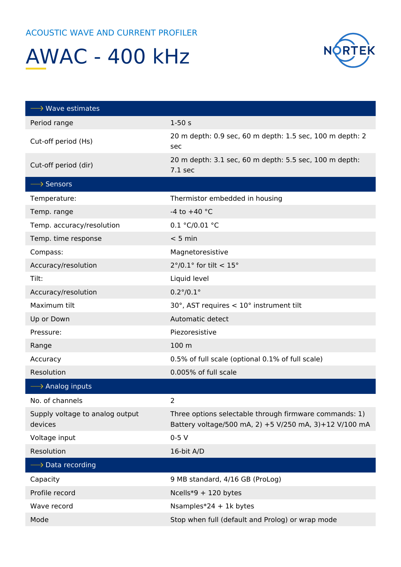### AWAC - 400 kHz



| $\longrightarrow$ Wave estimates           |                                                                                                                  |
|--------------------------------------------|------------------------------------------------------------------------------------------------------------------|
| Period range                               | $1-50s$                                                                                                          |
| Cut-off period (Hs)                        | 20 m depth: 0.9 sec, 60 m depth: 1.5 sec, 100 m depth: 2<br>sec                                                  |
| Cut-off period (dir)                       | 20 m depth: 3.1 sec, 60 m depth: 5.5 sec, 100 m depth:<br>$7.1$ sec                                              |
| $\longrightarrow$ Sensors                  |                                                                                                                  |
| Temperature:                               | Thermistor embedded in housing                                                                                   |
| Temp. range                                | -4 to $+40$ °C                                                                                                   |
| Temp. accuracy/resolution                  | 0.1 °C/0.01 °C                                                                                                   |
| Temp. time response                        | $< 5$ min                                                                                                        |
| Compass:                                   | Magnetoresistive                                                                                                 |
| Accuracy/resolution                        | $2^{\circ}/0.1^{\circ}$ for tilt < 15°                                                                           |
| Tilt:                                      | Liquid level                                                                                                     |
| Accuracy/resolution                        | $0.2^{\circ}/0.1^{\circ}$                                                                                        |
| Maximum tilt                               | 30°, AST requires < 10° instrument tilt                                                                          |
| Up or Down                                 | Automatic detect                                                                                                 |
| Pressure:                                  | Piezoresistive                                                                                                   |
| Range                                      | 100 m                                                                                                            |
| Accuracy                                   | 0.5% of full scale (optional 0.1% of full scale)                                                                 |
| Resolution                                 | 0.005% of full scale                                                                                             |
| $\longrightarrow$ Analog inputs            |                                                                                                                  |
| No. of channels                            | 2                                                                                                                |
| Supply voltage to analog output<br>devices | Three options selectable through firmware commands: 1)<br>Battery voltage/500 mA, 2) +5 V/250 mA, 3)+12 V/100 mA |
| Voltage input                              | $0-5V$                                                                                                           |
| Resolution                                 | 16-bit A/D                                                                                                       |
| $\longrightarrow$ Data recording           |                                                                                                                  |
| Capacity                                   | 9 MB standard, 4/16 GB (ProLog)                                                                                  |
| Profile record                             | Ncells*9 + 120 bytes                                                                                             |
| Wave record                                | Nsamples*24 + 1 $k$ bytes                                                                                        |
| Mode                                       | Stop when full (default and Prolog) or wrap mode                                                                 |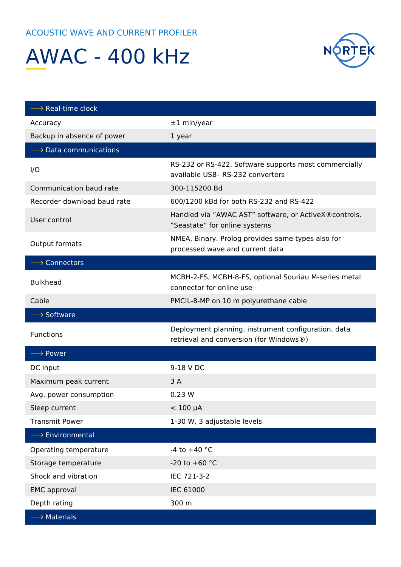## AWAC - 400 kHz



| $\longrightarrow$ Real-time clock     |                                                                                                |
|---------------------------------------|------------------------------------------------------------------------------------------------|
| Accuracy                              | $±1$ min/year                                                                                  |
| Backup in absence of power            | 1 year                                                                                         |
| $\longrightarrow$ Data communications |                                                                                                |
| I/O                                   | RS-232 or RS-422. Software supports most commercially<br>available USB-RS-232 converters       |
| Communication baud rate               | 300-115200 Bd                                                                                  |
| Recorder download baud rate           | 600/1200 kBd for both RS-232 and RS-422                                                        |
| User control                          | Handled via "AWAC AST" software, or ActiveX® controls.<br>"Seastate" for online systems        |
| Output formats                        | NMEA, Binary. Prolog provides same types also for<br>processed wave and current data           |
| $\longrightarrow$ Connectors          |                                                                                                |
| <b>Bulkhead</b>                       | MCBH-2-FS, MCBH-8-FS, optional Souriau M-series metal<br>connector for online use              |
| Cable                                 | PMCIL-8-MP on 10 m polyurethane cable                                                          |
|                                       |                                                                                                |
| $\longrightarrow$ Software            |                                                                                                |
| <b>Functions</b>                      | Deployment planning, instrument configuration, data<br>retrieval and conversion (for Windows®) |
| $\longrightarrow$ Power               |                                                                                                |
| DC input                              | 9-18 V DC                                                                                      |
| Maximum peak current                  | 3A                                                                                             |
| Avg. power consumption                | 0.23 W                                                                                         |
| Sleep current                         | $< 100 \mu A$                                                                                  |
| <b>Transmit Power</b>                 | 1-30 W, 3 adjustable levels                                                                    |
| $\longrightarrow$ Environmental       |                                                                                                |
| Operating temperature                 | -4 to $+40$ °C                                                                                 |
| Storage temperature                   | -20 to +60 $^{\circ}$ C                                                                        |
| Shock and vibration                   | IEC 721-3-2                                                                                    |
| <b>EMC</b> approval                   | <b>IEC 61000</b>                                                                               |
| Depth rating                          | 300 m                                                                                          |